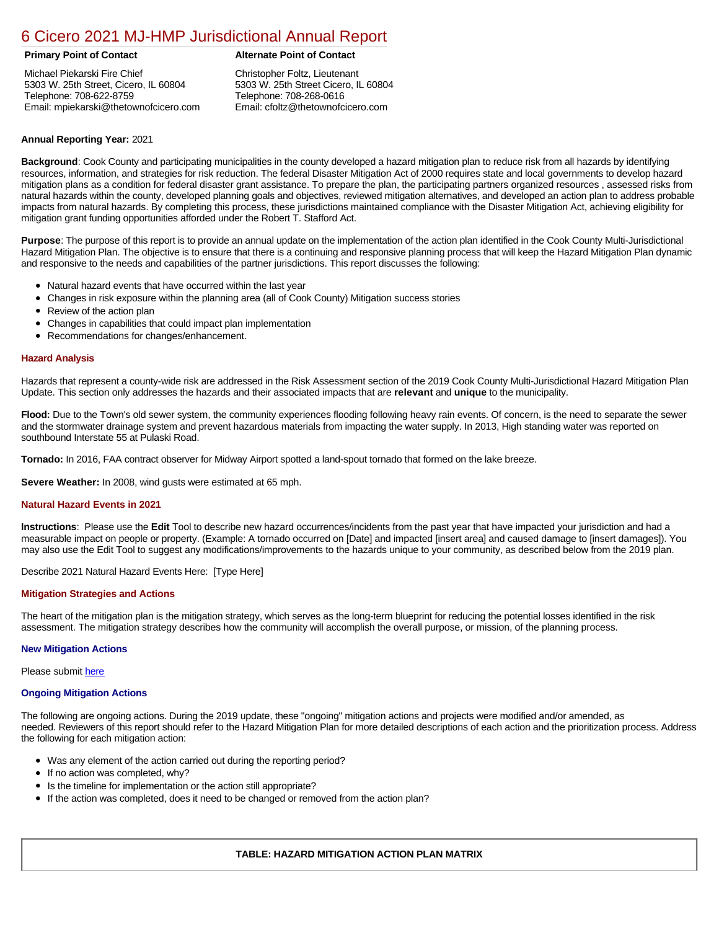# [6 Cicero 2021 MJ-HMP Jurisdictional Annual Report](https://cicero.isc-cemp.com/Cemp/Details?id=8322724)

Michael Piekarski Fire Chief 5303 W. 25th Street, Cicero, IL 60804 Telephone: 708-622-8759 Email: mpiekarski@thetownofcicero.com

# **Primary Point of Contact Alternate Point of Contact**

Christopher Foltz, Lieutenant 5303 W. 25th Street Cicero, IL 60804 Telephone: 708-268-0616 Email: cfoltz@thetownofcicero.com

## **Annual Reporting Year:** 2021

**Background**: Cook County and participating municipalities in the county developed a hazard mitigation plan to reduce risk from all hazards by identifying resources, information, and strategies for risk reduction. The federal Disaster Mitigation Act of 2000 requires state and local governments to develop hazard mitigation plans as a condition for federal disaster grant assistance. To prepare the plan, the participating partners organized resources , assessed risks from natural hazards within the county, developed planning goals and objectives, reviewed mitigation alternatives, and developed an action plan to address probable impacts from natural hazards. By completing this process, these jurisdictions maintained compliance with the Disaster Mitigation Act, achieving eligibility for mitigation grant funding opportunities afforded under the Robert T. Stafford Act.

**Purpose**: The purpose of this report is to provide an annual update on the implementation of the action plan identified in the Cook County Multi-Jurisdictional Hazard Mitigation Plan. The objective is to ensure that there is a continuing and responsive planning process that will keep the Hazard Mitigation Plan dynamic and responsive to the needs and capabilities of the partner jurisdictions. This report discusses the following:

- Natural hazard events that have occurred within the last year
- Changes in risk exposure within the planning area (all of Cook County) Mitigation success stories
- Review of the action plan  $\bullet$
- Changes in capabilities that could impact plan implementation
- Recommendations for changes/enhancement.

### **Hazard Analysis**

Hazards that represent a county-wide risk are addressed in the Risk Assessment section of the 2019 Cook County Multi-Jurisdictional Hazard Mitigation Plan Update. This section only addresses the hazards and their associated impacts that are **relevant** and **unique** to the municipality.

**Flood:** Due to the Town's old sewer system, the community experiences flooding following heavy rain events. Of concern, is the need to separate the sewer and the stormwater drainage system and prevent hazardous materials from impacting the water supply. In 2013, High standing water was reported on southbound Interstate 55 at Pulaski Road.

**Tornado:** In 2016, FAA contract observer for Midway Airport spotted a land-spout tornado that formed on the lake breeze.

**Severe Weather:** In 2008, wind gusts were estimated at 65 mph.

### **Natural Hazard Events in 2021**

**Instructions**: Please use the **Edit** Tool to describe new hazard occurrences/incidents from the past year that have impacted your jurisdiction and had a measurable impact on people or property. (Example: A tornado occurred on [Date] and impacted [insert area] and caused damage to [insert damages]). You may also use the Edit Tool to suggest any modifications/improvements to the hazards unique to your community, as described below from the 2019 plan.

Describe 2021 Natural Hazard Events Here: [Type Here]

### **Mitigation Strategies and Actions**

The heart of the mitigation plan is the mitigation strategy, which serves as the long-term blueprint for reducing the potential losses identified in the risk assessment. The mitigation strategy describes how the community will accomplish the overall purpose, or mission, of the planning process.

### **New Mitigation Actions**

Please submit [here](https://integratedsolutions.wufoo.com/forms/mg21jvf0jn639o/)

### **Ongoing Mitigation Actions**

The following are ongoing actions. During the 2019 update, these "ongoing" mitigation actions and projects were modified and/or amended, as needed. Reviewers of this report should refer to the Hazard Mitigation Plan for more detailed descriptions of each action and the prioritization process. Address the following for each mitigation action:

- Was any element of the action carried out during the reporting period?
- If no action was completed, why?
- Is the timeline for implementation or the action still appropriate?
- If the action was completed, does it need to be changed or removed from the action plan?

### **TABLE: HAZARD MITIGATION ACTION PLAN MATRIX**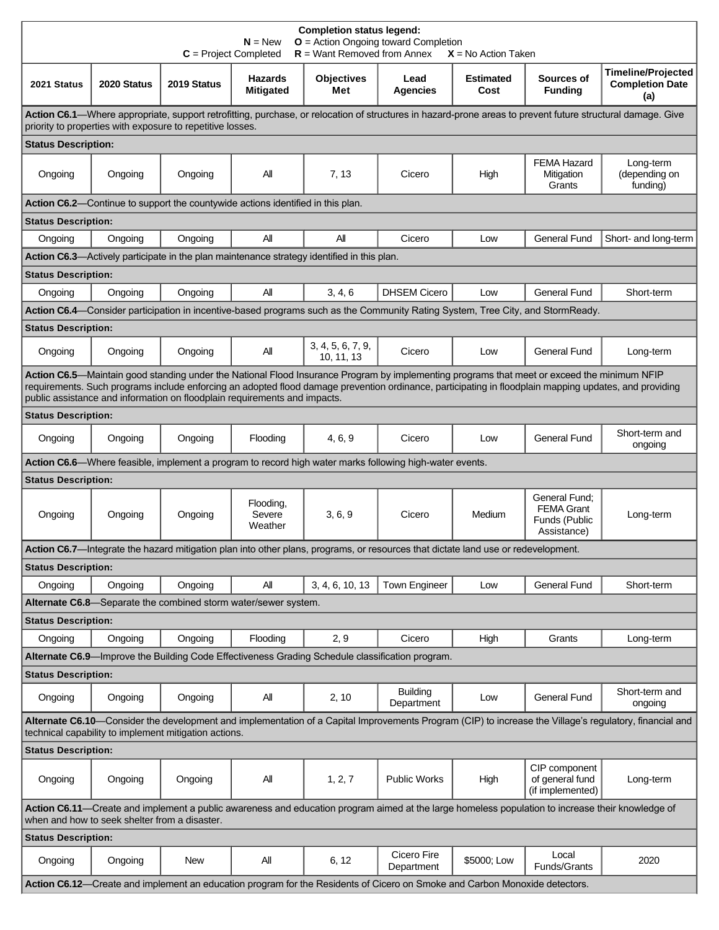| <b>Completion status legend:</b><br>$O =$ Action Ongoing toward Completion<br>$N = New$<br>$R =$ Want Removed from Annex<br>$C = Project Completed$<br>$X = No$ Action Taken                                                                                                                                                                                                       |             |             |                                                                                 |                                                                                            |                                                                                                                                   |                          |                                                                    |                                                            |  |  |  |
|------------------------------------------------------------------------------------------------------------------------------------------------------------------------------------------------------------------------------------------------------------------------------------------------------------------------------------------------------------------------------------|-------------|-------------|---------------------------------------------------------------------------------|--------------------------------------------------------------------------------------------|-----------------------------------------------------------------------------------------------------------------------------------|--------------------------|--------------------------------------------------------------------|------------------------------------------------------------|--|--|--|
| 2021 Status                                                                                                                                                                                                                                                                                                                                                                        | 2020 Status | 2019 Status | <b>Hazards</b><br><b>Mitigated</b>                                              | <b>Objectives</b><br>Met                                                                   | Lead<br>Agencies                                                                                                                  | <b>Estimated</b><br>Cost | Sources of<br><b>Funding</b>                                       | <b>Timeline/Projected</b><br><b>Completion Date</b><br>(a) |  |  |  |
| <b>Action C6.1</b> —Where appropriate, support retrofitting, purchase, or relocation of structures in hazard-prone areas to prevent future structural damage. Give<br>priority to properties with exposure to repetitive losses.                                                                                                                                                   |             |             |                                                                                 |                                                                                            |                                                                                                                                   |                          |                                                                    |                                                            |  |  |  |
| <b>Status Description:</b>                                                                                                                                                                                                                                                                                                                                                         |             |             |                                                                                 |                                                                                            |                                                                                                                                   |                          |                                                                    |                                                            |  |  |  |
| Ongoing                                                                                                                                                                                                                                                                                                                                                                            | Ongoing     | Ongoing     | Αll                                                                             | 7, 13                                                                                      | Cicero                                                                                                                            | High                     | <b>FEMA Hazard</b><br>Mitigation<br>Grants                         | Long-term<br>(depending on<br>funding)                     |  |  |  |
|                                                                                                                                                                                                                                                                                                                                                                                    |             |             | Action C6.2—Continue to support the countywide actions identified in this plan. |                                                                                            |                                                                                                                                   |                          |                                                                    |                                                            |  |  |  |
| <b>Status Description:</b>                                                                                                                                                                                                                                                                                                                                                         |             |             |                                                                                 |                                                                                            |                                                                                                                                   |                          |                                                                    |                                                            |  |  |  |
| Ongoing                                                                                                                                                                                                                                                                                                                                                                            | Ongoing     | Ongoing     | All                                                                             | All                                                                                        | Cicero                                                                                                                            | Low                      | <b>General Fund</b>                                                | Short- and long-term                                       |  |  |  |
|                                                                                                                                                                                                                                                                                                                                                                                    |             |             |                                                                                 | Action C6.3—Actively participate in the plan maintenance strategy identified in this plan. |                                                                                                                                   |                          |                                                                    |                                                            |  |  |  |
| <b>Status Description:</b>                                                                                                                                                                                                                                                                                                                                                         |             |             |                                                                                 |                                                                                            |                                                                                                                                   |                          |                                                                    |                                                            |  |  |  |
| Ongoing                                                                                                                                                                                                                                                                                                                                                                            | Ongoing     | Ongoing     | All                                                                             | 3, 4, 6                                                                                    | <b>DHSEM Cicero</b>                                                                                                               | Low                      | <b>General Fund</b>                                                | Short-term                                                 |  |  |  |
|                                                                                                                                                                                                                                                                                                                                                                                    |             |             |                                                                                 |                                                                                            | Action C6.4—Consider participation in incentive-based programs such as the Community Rating System, Tree City, and StormReady.    |                          |                                                                    |                                                            |  |  |  |
| <b>Status Description:</b>                                                                                                                                                                                                                                                                                                                                                         |             |             |                                                                                 |                                                                                            |                                                                                                                                   |                          |                                                                    |                                                            |  |  |  |
| Ongoing                                                                                                                                                                                                                                                                                                                                                                            | Ongoing     | Ongoing     | Αll                                                                             | 3, 4, 5, 6, 7, 9,<br>10, 11, 13                                                            | Cicero                                                                                                                            | Low                      | <b>General Fund</b>                                                | Long-term                                                  |  |  |  |
| Action C6.5-Maintain good standing under the National Flood Insurance Program by implementing programs that meet or exceed the minimum NFIP<br>requirements. Such programs include enforcing an adopted flood damage prevention ordinance, participating in floodplain mapping updates, and providing<br>public assistance and information on floodplain requirements and impacts. |             |             |                                                                                 |                                                                                            |                                                                                                                                   |                          |                                                                    |                                                            |  |  |  |
| <b>Status Description:</b>                                                                                                                                                                                                                                                                                                                                                         |             |             |                                                                                 |                                                                                            |                                                                                                                                   |                          |                                                                    |                                                            |  |  |  |
| Ongoing                                                                                                                                                                                                                                                                                                                                                                            | Ongoing     | Ongoing     | Flooding                                                                        | 4, 6, 9                                                                                    | Cicero                                                                                                                            | Low                      | <b>General Fund</b>                                                | Short-term and<br>ongoing                                  |  |  |  |
|                                                                                                                                                                                                                                                                                                                                                                                    |             |             |                                                                                 |                                                                                            | Action C6.6—Where feasible, implement a program to record high water marks following high-water events.                           |                          |                                                                    |                                                            |  |  |  |
| <b>Status Description:</b>                                                                                                                                                                                                                                                                                                                                                         |             |             |                                                                                 |                                                                                            |                                                                                                                                   |                          |                                                                    |                                                            |  |  |  |
| Ongoing                                                                                                                                                                                                                                                                                                                                                                            | Ongoing     | Ongoing     | Flooding,<br>Severe<br>Weather                                                  | 3, 6, 9                                                                                    | Cicero                                                                                                                            | Medium                   | General Fund:<br><b>FEMA Grant</b><br>Funds (Public<br>Assistance) | Long-term                                                  |  |  |  |
|                                                                                                                                                                                                                                                                                                                                                                                    |             |             |                                                                                 |                                                                                            | Action C6.7-Integrate the hazard mitigation plan into other plans, programs, or resources that dictate land use or redevelopment. |                          |                                                                    |                                                            |  |  |  |
| <b>Status Description:</b>                                                                                                                                                                                                                                                                                                                                                         |             |             |                                                                                 |                                                                                            |                                                                                                                                   |                          |                                                                    |                                                            |  |  |  |
| Ongoing                                                                                                                                                                                                                                                                                                                                                                            | Ongoing     | Ongoing     | All                                                                             | 3, 4, 6, 10, 13                                                                            | <b>Town Engineer</b>                                                                                                              | Low                      | General Fund                                                       | Short-term                                                 |  |  |  |
|                                                                                                                                                                                                                                                                                                                                                                                    |             |             | Alternate C6.8—Separate the combined storm water/sewer system.                  |                                                                                            |                                                                                                                                   |                          |                                                                    |                                                            |  |  |  |
| <b>Status Description:</b>                                                                                                                                                                                                                                                                                                                                                         |             |             |                                                                                 |                                                                                            |                                                                                                                                   |                          |                                                                    |                                                            |  |  |  |
| Ongoing                                                                                                                                                                                                                                                                                                                                                                            | Ongoing     | Ongoing     | Flooding                                                                        | 2, 9                                                                                       | Cicero                                                                                                                            | High                     | Grants                                                             | Long-term                                                  |  |  |  |
| Alternate C6.9—Improve the Building Code Effectiveness Grading Schedule classification program.                                                                                                                                                                                                                                                                                    |             |             |                                                                                 |                                                                                            |                                                                                                                                   |                          |                                                                    |                                                            |  |  |  |
| <b>Status Description:</b>                                                                                                                                                                                                                                                                                                                                                         |             |             |                                                                                 |                                                                                            |                                                                                                                                   |                          |                                                                    |                                                            |  |  |  |
| Ongoing                                                                                                                                                                                                                                                                                                                                                                            | Ongoing     | Ongoing     | All                                                                             | 2, 10                                                                                      | <b>Building</b><br>Department                                                                                                     | Low                      | <b>General Fund</b>                                                | Short-term and<br>ongoing                                  |  |  |  |
| Alternate C6.10—Consider the development and implementation of a Capital Improvements Program (CIP) to increase the Village's regulatory, financial and<br>technical capability to implement mitigation actions.                                                                                                                                                                   |             |             |                                                                                 |                                                                                            |                                                                                                                                   |                          |                                                                    |                                                            |  |  |  |
| <b>Status Description:</b>                                                                                                                                                                                                                                                                                                                                                         |             |             |                                                                                 |                                                                                            |                                                                                                                                   |                          |                                                                    |                                                            |  |  |  |
| Ongoing                                                                                                                                                                                                                                                                                                                                                                            | Ongoing     | Ongoing     | All                                                                             | 1, 2, 7                                                                                    | <b>Public Works</b>                                                                                                               | High                     | CIP component<br>of general fund<br>(if implemented)               | Long-term                                                  |  |  |  |
| Action C6.11—Create and implement a public awareness and education program aimed at the large homeless population to increase their knowledge of<br>when and how to seek shelter from a disaster.                                                                                                                                                                                  |             |             |                                                                                 |                                                                                            |                                                                                                                                   |                          |                                                                    |                                                            |  |  |  |
| <b>Status Description:</b>                                                                                                                                                                                                                                                                                                                                                         |             |             |                                                                                 |                                                                                            |                                                                                                                                   |                          |                                                                    |                                                            |  |  |  |
| Ongoing                                                                                                                                                                                                                                                                                                                                                                            | Ongoing     | New         | All                                                                             | 6, 12                                                                                      | Cicero Fire<br>Department                                                                                                         | \$5000; Low              | Local<br>Funds/Grants                                              | 2020                                                       |  |  |  |
| Action C6.12-Create and implement an education program for the Residents of Cicero on Smoke and Carbon Monoxide detectors.                                                                                                                                                                                                                                                         |             |             |                                                                                 |                                                                                            |                                                                                                                                   |                          |                                                                    |                                                            |  |  |  |